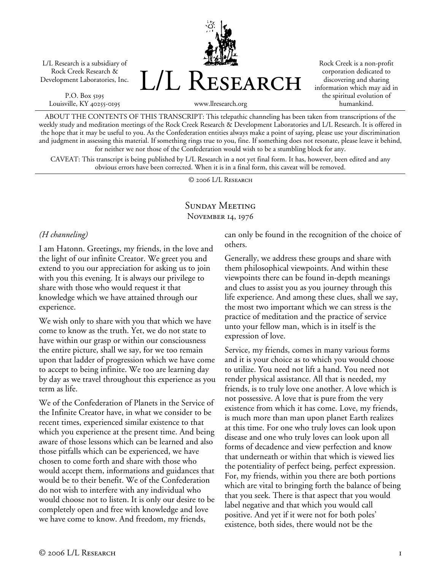L/L Research is a subsidiary of Rock Creek Research & Development Laboratories, Inc.

P.O. Box 5195 Louisville, KY 40255-0195 L/L Research

Rock Creek is a non-profit corporation dedicated to discovering and sharing information which may aid in the spiritual evolution of humankind.

www.llresearch.org

ABOUT THE CONTENTS OF THIS TRANSCRIPT: This telepathic channeling has been taken from transcriptions of the weekly study and meditation meetings of the Rock Creek Research & Development Laboratories and L/L Research. It is offered in the hope that it may be useful to you. As the Confederation entities always make a point of saying, please use your discrimination and judgment in assessing this material. If something rings true to you, fine. If something does not resonate, please leave it behind, for neither we nor those of the Confederation would wish to be a stumbling block for any.

CAVEAT: This transcript is being published by L/L Research in a not yet final form. It has, however, been edited and any obvious errors have been corrected. When it is in a final form, this caveat will be removed.

© 2006 L/L Research

# Sunday Meeting NOVEMBER 14, 1976

### *(H channeling)*

I am Hatonn. Greetings, my friends, in the love and the light of our infinite Creator. We greet you and extend to you our appreciation for asking us to join with you this evening. It is always our privilege to share with those who would request it that knowledge which we have attained through our experience.

We wish only to share with you that which we have come to know as the truth. Yet, we do not state to have within our grasp or within our consciousness the entire picture, shall we say, for we too remain upon that ladder of progression which we have come to accept to being infinite. We too are learning day by day as we travel throughout this experience as you term as life.

We of the Confederation of Planets in the Service of the Infinite Creator have, in what we consider to be recent times, experienced similar existence to that which you experience at the present time. And being aware of those lessons which can be learned and also those pitfalls which can be experienced, we have chosen to come forth and share with those who would accept them, informations and guidances that would be to their benefit. We of the Confederation do not wish to interfere with any individual who would choose not to listen. It is only our desire to be completely open and free with knowledge and love we have come to know. And freedom, my friends,

can only be found in the recognition of the choice of others.

Generally, we address these groups and share with them philosophical viewpoints. And within these viewpoints there can be found in-depth meanings and clues to assist you as you journey through this life experience. And among these clues, shall we say, the most two important which we can stress is the practice of meditation and the practice of service unto your fellow man, which is in itself is the expression of love.

Service, my friends, comes in many various forms and it is your choice as to which you would choose to utilize. You need not lift a hand. You need not render physical assistance. All that is needed, my friends, is to truly love one another. A love which is not possessive. A love that is pure from the very existence from which it has come. Love, my friends, is much more than man upon planet Earth realizes at this time. For one who truly loves can look upon disease and one who truly loves can look upon all forms of decadence and view perfection and know that underneath or within that which is viewed lies the potentiality of perfect being, perfect expression. For, my friends, within you there are both portions which are vital to bringing forth the balance of being that you seek. There is that aspect that you would label negative and that which you would call positive. And yet if it were not for both poles' existence, both sides, there would not be the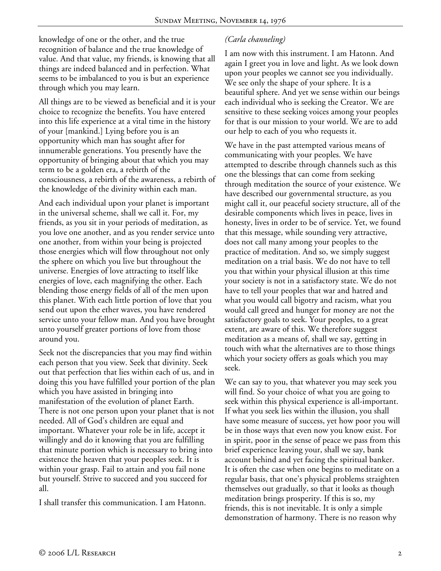knowledge of one or the other, and the true recognition of balance and the true knowledge of value. And that value, my friends, is knowing that all things are indeed balanced and in perfection. What seems to be imbalanced to you is but an experience through which you may learn.

All things are to be viewed as beneficial and it is your choice to recognize the benefits. You have entered into this life experience at a vital time in the history of your [mankind.] Lying before you is an opportunity which man has sought after for innumerable generations. You presently have the opportunity of bringing about that which you may term to be a golden era, a rebirth of the consciousness, a rebirth of the awareness, a rebirth of the knowledge of the divinity within each man.

And each individual upon your planet is important in the universal scheme, shall we call it. For, my friends, as you sit in your periods of meditation, as you love one another, and as you render service unto one another, from within your being is projected those energies which will flow throughout not only the sphere on which you live but throughout the universe. Energies of love attracting to itself like energies of love, each magnifying the other. Each blending those energy fields of all of the men upon this planet. With each little portion of love that you send out upon the ether waves, you have rendered service unto your fellow man. And you have brought unto yourself greater portions of love from those around you.

Seek not the discrepancies that you may find within each person that you view. Seek that divinity. Seek out that perfection that lies within each of us, and in doing this you have fulfilled your portion of the plan which you have assisted in bringing into manifestation of the evolution of planet Earth. There is not one person upon your planet that is not needed. All of God's children are equal and important. Whatever your role be in life, accept it willingly and do it knowing that you are fulfilling that minute portion which is necessary to bring into existence the heaven that your peoples seek. It is within your grasp. Fail to attain and you fail none but yourself. Strive to succeed and you succeed for all.

I shall transfer this communication. I am Hatonn.

# *(Carla channeling)*

I am now with this instrument. I am Hatonn. And again I greet you in love and light. As we look down upon your peoples we cannot see you individually. We see only the shape of your sphere. It is a beautiful sphere. And yet we sense within our beings each individual who is seeking the Creator. We are sensitive to these seeking voices among your peoples for that is our mission to your world. We are to add our help to each of you who requests it.

We have in the past attempted various means of communicating with your peoples. We have attempted to describe through channels such as this one the blessings that can come from seeking through meditation the source of your existence. We have described our governmental structure, as you might call it, our peaceful society structure, all of the desirable components which lives in peace, lives in honesty, lives in order to be of service. Yet, we found that this message, while sounding very attractive, does not call many among your peoples to the practice of meditation. And so, we simply suggest meditation on a trial basis. We do not have to tell you that within your physical illusion at this time your society is not in a satisfactory state. We do not have to tell your peoples that war and hatred and what you would call bigotry and racism, what you would call greed and hunger for money are not the satisfactory goals to seek. Your peoples, to a great extent, are aware of this. We therefore suggest meditation as a means of, shall we say, getting in touch with what the alternatives are to those things which your society offers as goals which you may seek.

We can say to you, that whatever you may seek you will find. So your choice of what you are going to seek within this physical experience is all-important. If what you seek lies within the illusion, you shall have some measure of success, yet how poor you will be in those ways that even now you know exist. For in spirit, poor in the sense of peace we pass from this brief experience leaving your, shall we say, bank account behind and yet facing the spiritual banker. It is often the case when one begins to meditate on a regular basis, that one's physical problems straighten themselves out gradually, so that it looks as though meditation brings prosperity. If this is so, my friends, this is not inevitable. It is only a simple demonstration of harmony. There is no reason why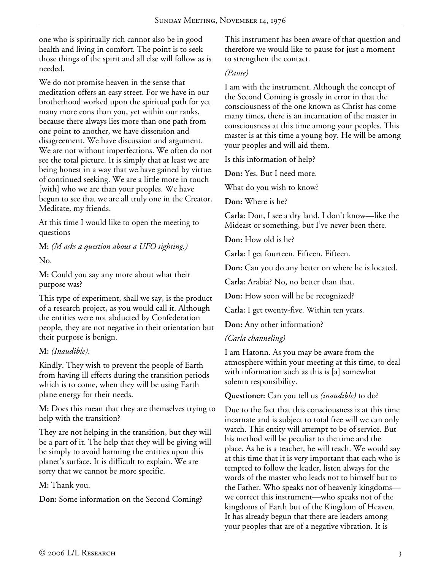one who is spiritually rich cannot also be in good health and living in comfort. The point is to seek those things of the spirit and all else will follow as is needed.

We do not promise heaven in the sense that meditation offers an easy street. For we have in our brotherhood worked upon the spiritual path for yet many more eons than you, yet within our ranks, because there always lies more than one path from one point to another, we have dissension and disagreement. We have discussion and argument. We are not without imperfections. We often do not see the total picture. It is simply that at least we are being honest in a way that we have gained by virtue of continued seeking. We are a little more in touch [with] who we are than your peoples. We have begun to see that we are all truly one in the Creator. Meditate, my friends.

At this time I would like to open the meeting to questions

**M:** *(M asks a question about a UFO sighting.)*

No.

**M:** Could you say any more about what their purpose was?

This type of experiment, shall we say, is the product of a research project, as you would call it. Although the entities were not abducted by Confederation people, they are not negative in their orientation but their purpose is benign.

## **M:** *(Inaudible)*.

Kindly. They wish to prevent the people of Earth from having ill effects during the transition periods which is to come, when they will be using Earth plane energy for their needs.

**M:** Does this mean that they are themselves trying to help with the transition?

They are not helping in the transition, but they will be a part of it. The help that they will be giving will be simply to avoid harming the entities upon this planet's surface. It is difficult to explain. We are sorry that we cannot be more specific.

**M:** Thank you.

**Don:** Some information on the Second Coming?

This instrument has been aware of that question and therefore we would like to pause for just a moment to strengthen the contact.

#### *(Pause)*

I am with the instrument. Although the concept of the Second Coming is grossly in error in that the consciousness of the one known as Christ has come many times, there is an incarnation of the master in consciousness at this time among your peoples. This master is at this time a young boy. He will be among your peoples and will aid them.

Is this information of help?

**Don:** Yes. But I need more.

What do you wish to know?

**Don:** Where is he?

**Carla:** Don, I see a dry land. I don't know—like the Mideast or something, but I've never been there.

**Don:** How old is he?

**Carla:** I get fourteen. Fifteen. Fifteen.

**Don:** Can you do any better on where he is located.

**Carla:** Arabia? No, no better than that.

**Don:** How soon will he be recognized?

**Carla:** I get twenty-five. Within ten years.

**Don:** Any other information?

*(Carla channeling)* 

I am Hatonn. As you may be aware from the atmosphere within your meeting at this time, to deal with information such as this is [a] somewhat solemn responsibility.

**Questioner:** Can you tell us *(inaudible)* to do?

Due to the fact that this consciousness is at this time incarnate and is subject to total free will we can only watch. This entity will attempt to be of service. But his method will be peculiar to the time and the place. As he is a teacher, he will teach. We would say at this time that it is very important that each who is tempted to follow the leader, listen always for the words of the master who leads not to himself but to the Father. Who speaks not of heavenly kingdoms we correct this instrument—who speaks not of the kingdoms of Earth but of the Kingdom of Heaven. It has already begun that there are leaders among your peoples that are of a negative vibration. It is